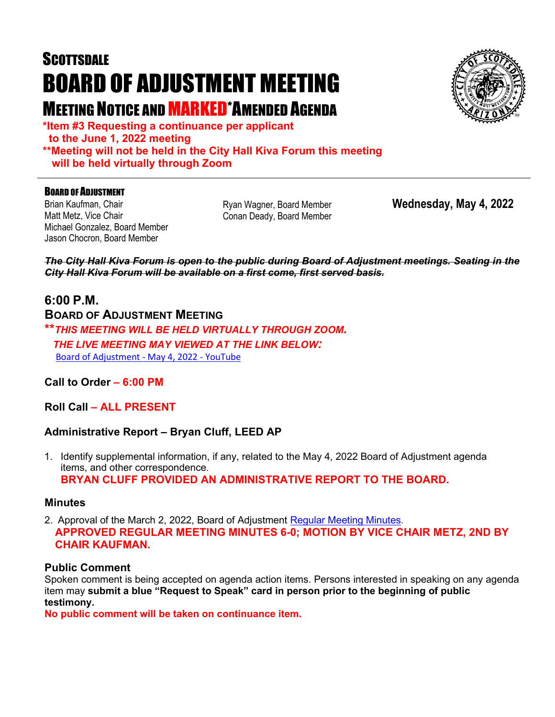# **SCOTTSDALE** BOARD OF ADJUSTMENT MEETING MEETING NOTICE AND MARKED\*AMENDED AGENDA



**\*Item #3 Requesting a continuance per applicant to the June 1, 2022 meeting \*\*Meeting will not be held in the City Hall Kiva Forum this meeting will be held virtually through Zoom**

#### **BOARD OF ADJUSTMENT**

Brian Kaufman, Chair Matt Metz, Vice Chair Michael Gonzalez, Board Member Jason Chocron, Board Member

Ryan Wagner, Board Member Conan Deady, Board Member

**Wednesday, May 4, 2022**

*The City Hall Kiva Forum is open to the public during Board of Adjustment meetings. Seating in the City Hall Kiva Forum will be available on a first come, first served basis.*

### **6:00 P.M.**

**BOARD OF ADJUSTMENT MEETING**

**\*\****THIS MEETING WILL BE HELD VIRTUALLY THROUGH ZOOM. THE LIVE MEETING MAY VIEWED AT THE LINK BELOW:* Board of Adjustment - May 4, 2022 - YouTube

#### **Call to Order – 6:00 PM**

**Roll Call – ALL PRESENT**

#### **Administrative Report – Bryan Cluff, LEED AP**

1. Identify supplemental information, if any, related to the May 4, 2022 Board of Adjustment agenda items, and other correspondence. **BRYAN CLUFF PROVIDED AN ADMINISTRATIVE REPORT TO THE BOARD.**

#### **Minutes**

2. Approval of the March 2, 2022, Board of Adjustment [Regular Meeting Minutes.](https://eservices.scottsdaleaz.gov/planning/projectsummary/unrelated_documents/BOA_MINUTES_03022022.pdf) **APPROVED REGULAR MEETING MINUTES 6-0; MOTION BY VICE CHAIR METZ, 2ND BY CHAIR KAUFMAN.**

#### **Public Comment**

Spoken comment is being accepted on agenda action items. Persons interested in speaking on any agenda item may **submit a blue "Request to Speak" card in person prior to the beginning of public testimony.**

**No public comment will be taken on continuance item.**